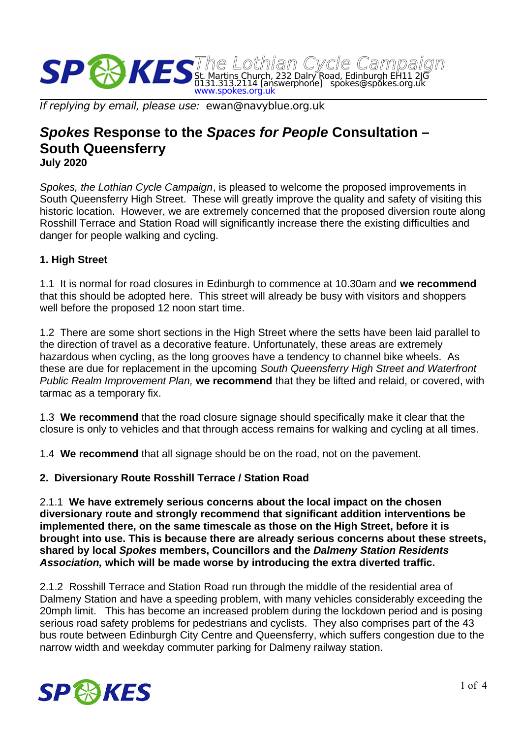

If replying by email, please use: ewan@navyblue.org.uk

# *Spokes* **Response to the** *Spaces for People* **Consultation – South Queensferry**

**July 2020**

*Spokes, the Lothian Cycle Campaign*, is pleased to welcome the proposed improvements in South Queensferry High Street. These will greatly improve the quality and safety of visiting this historic location. However, we are extremely concerned that the proposed diversion route along Rosshill Terrace and Station Road will significantly increase there the existing difficulties and danger for people walking and cycling.

## **1. High Street**

1.1 It is normal for road closures in Edinburgh to commence at 10.30am and **we recommend** that this should be adopted here. This street will already be busy with visitors and shoppers well before the proposed 12 noon start time.

1.2 There are some short sections in the High Street where the setts have been laid parallel to the direction of travel as a decorative feature. Unfortunately, these areas are extremely hazardous when cycling, as the long grooves have a tendency to channel bike wheels. As these are due for replacement in the upcoming *South Queensferry High Street and Waterfront Public Realm Improvement Plan,* **we recommend** that they be lifted and relaid, or covered, with tarmac as a temporary fix.

1.3 **We recommend** that the road closure signage should specifically make it clear that the closure is only to vehicles and that through access remains for walking and cycling at all times.

1.4 **We recommend** that all signage should be on the road, not on the pavement.

#### **2. Diversionary Route Rosshill Terrace / Station Road**

2.1.1 **We have extremely serious concerns about the local impact on the chosen diversionary route and strongly recommend that significant addition interventions be implemented there, on the same timescale as those on the High Street, before it is brought into use. This is because there are already serious concerns about these streets, shared by local** *Spokes* **members, Councillors and the** *Dalmeny Station Residents Association,* **which will be made worse by introducing the extra diverted traffic.**

2.1.2 Rosshill Terrace and Station Road run through the middle of the residential area of Dalmeny Station and have a speeding problem, with many vehicles considerably exceeding the 20mph limit. This has become an increased problem during the lockdown period and is posing serious road safety problems for pedestrians and cyclists. They also comprises part of the 43 bus route between Edinburgh City Centre and Queensferry, which suffers congestion due to the narrow width and weekday commuter parking for Dalmeny railway station.

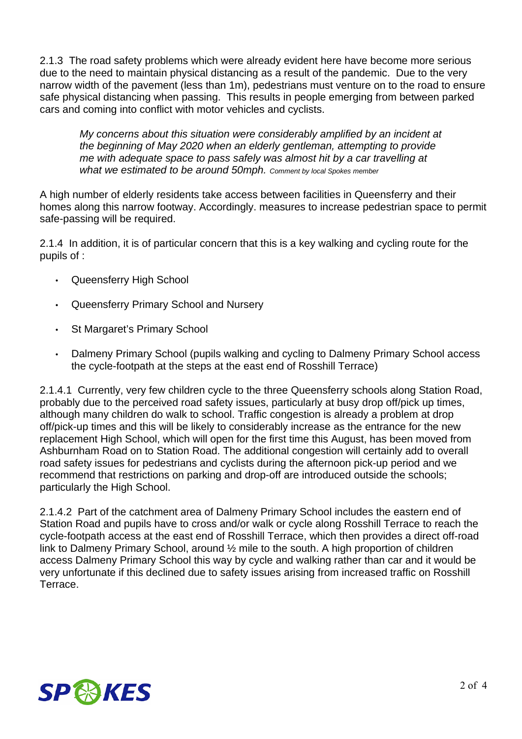2.1.3 The road safety problems which were already evident here have become more serious due to the need to maintain physical distancing as a result of the pandemic. Due to the very narrow width of the pavement (less than 1m), pedestrians must venture on to the road to ensure safe physical distancing when passing. This results in people emerging from between parked cars and coming into conflict with motor vehicles and cyclists.

*My concerns about this situation were considerably amplified by an incident at the beginning of May 2020 when an elderly gentleman, attempting to provide me with adequate space to pass safely was almost hit by a car travelling at what we estimated to be around 50mph. Comment by local Spokes member*

A high number of elderly residents take access between facilities in Queensferry and their homes along this narrow footway. Accordingly. measures to increase pedestrian space to permit safe-passing will be required.

2.1.4 In addition, it is of particular concern that this is a key walking and cycling route for the pupils of :

- Queensferry High School
- Queensferry Primary School and Nursery
- St Margaret's Primary School
- Dalmeny Primary School (pupils walking and cycling to Dalmeny Primary School access the cycle-footpath at the steps at the east end of Rosshill Terrace)

2.1.4.1 Currently, very few children cycle to the three Queensferry schools along Station Road, probably due to the perceived road safety issues, particularly at busy drop off/pick up times, although many children do walk to school. Traffic congestion is already a problem at drop off/pick-up times and this will be likely to considerably increase as the entrance for the new replacement High School, which will open for the first time this August, has been moved from Ashburnham Road on to Station Road. The additional congestion will certainly add to overall road safety issues for pedestrians and cyclists during the afternoon pick-up period and we recommend that restrictions on parking and drop-off are introduced outside the schools; particularly the High School.

2.1.4.2 Part of the catchment area of Dalmeny Primary School includes the eastern end of Station Road and pupils have to cross and/or walk or cycle along Rosshill Terrace to reach the cycle-footpath access at the east end of Rosshill Terrace, which then provides a direct off-road link to Dalmeny Primary School, around ½ mile to the south. A high proportion of children access Dalmeny Primary School this way by cycle and walking rather than car and it would be very unfortunate if this declined due to safety issues arising from increased traffic on Rosshill Terrace.

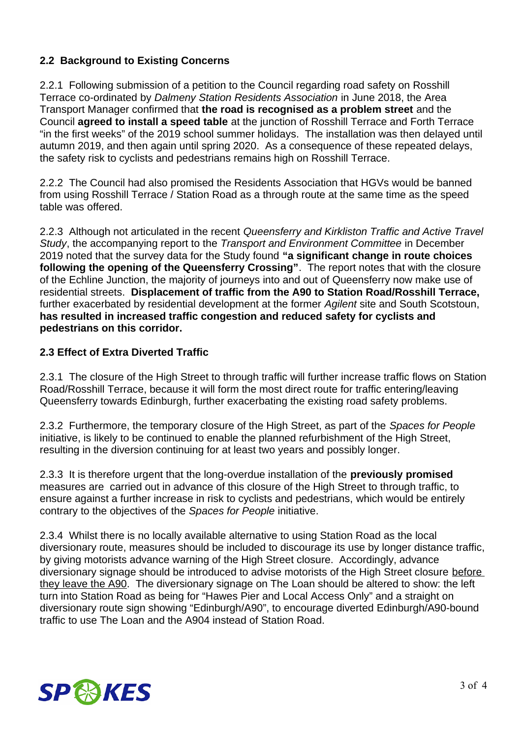# **2.2 Background to Existing Concerns**

2.2.1 Following submission of a petition to the Council regarding road safety on Rosshill Terrace co-ordinated by *Dalmeny Station Residents Association* in June 2018, the Area Transport Manager confirmed that **the road is recognised as a problem street** and the Council **agreed to install a speed table** at the junction of Rosshill Terrace and Forth Terrace "in the first weeks" of the 2019 school summer holidays. The installation was then delayed until autumn 2019, and then again until spring 2020. As a consequence of these repeated delays, the safety risk to cyclists and pedestrians remains high on Rosshill Terrace.

2.2.2 The Council had also promised the Residents Association that HGVs would be banned from using Rosshill Terrace / Station Road as a through route at the same time as the speed table was offered.

2.2.3 Although not articulated in the recent *Queensferry and Kirkliston Traffic and Active Travel Study*, the accompanying report to the *Transport and Environment Committee* in December 2019 noted that the survey data for the Study found **"a significant change in route choices following the opening of the Queensferry Crossing"**. The report notes that with the closure of the Echline Junction, the majority of journeys into and out of Queensferry now make use of residential streets. **Displacement of traffic from the A90 to Station Road/Rosshill Terrace,**  further exacerbated by residential development at the former *Agilent* site and South Scotstoun, **has resulted in increased traffic congestion and reduced safety for cyclists and pedestrians on this corridor.**

## **2.3 Effect of Extra Diverted Traffic**

2.3.1 The closure of the High Street to through traffic will further increase traffic flows on Station Road/Rosshill Terrace, because it will form the most direct route for traffic entering/leaving Queensferry towards Edinburgh, further exacerbating the existing road safety problems.

2.3.2 Furthermore, the temporary closure of the High Street, as part of the *Spaces for People* initiative, is likely to be continued to enable the planned refurbishment of the High Street, resulting in the diversion continuing for at least two years and possibly longer.

2.3.3 It is therefore urgent that the long-overdue installation of the **previously promised**  measures are carried out in advance of this closure of the High Street to through traffic, to ensure against a further increase in risk to cyclists and pedestrians, which would be entirely contrary to the objectives of the *Spaces for People* initiative.

2.3.4 Whilst there is no locally available alternative to using Station Road as the local diversionary route, measures should be included to discourage its use by longer distance traffic, by giving motorists advance warning of the High Street closure. Accordingly, advance diversionary signage should be introduced to advise motorists of the High Street closure before they leave the A90. The diversionary signage on The Loan should be altered to show: the left turn into Station Road as being for "Hawes Pier and Local Access Only" and a straight on diversionary route sign showing "Edinburgh/A90", to encourage diverted Edinburgh/A90-bound traffic to use The Loan and the A904 instead of Station Road.